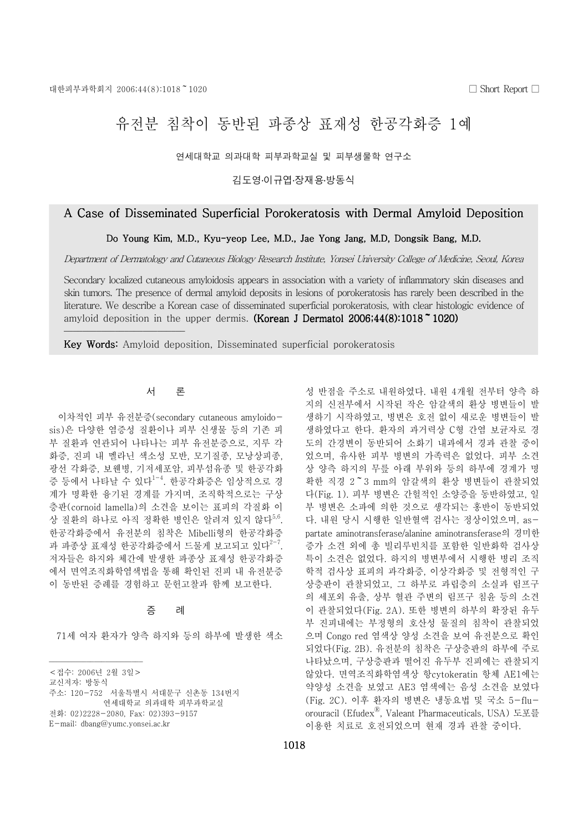빲빲빲빲빲빲빲빲빲빲빲빲빲빲빲빲빲빲빲빲빲빲빲빲빲빲

# 유전부 침착이 동반된 파종상 표재성 한공각화증 1예

연세대학교 의과대학 피부과학교실 및 피부생물학 연구소

김도영 이규엽 장재용 방동식

## A Case of Disseminated Superficial Porokeratosis with Dermal Amyloid Deposition

Do Young Kim, M.D., Kyu-yeop Lee, M.D., Jae Yong Jang, M.D, Dongsik Bang, M.D.

Department of Dermatology and Cutaneous Biology Research Institute, Yonsei University College of Medicine, Seoul, Korea

Secondary localized cutaneous amyloidosis appears in association with a variety of inflammatory skin diseases and skin tumors. The presence of dermal amyloid deposits in lesions of porokeratosis has rarely been described in the literature. We describe a Korean case of disseminated superficial porokeratosis, with clear histologic evidence of amyloid deposition in the upper dermis. (Korean J Dermatol  $2006;44(8):1018$   $\degree$  1020)

Key Words: Amyloid deposition, Disseminated superficial porokeratosis

#### 서 론

이차적인 피부 유전분증(secondary cutaneous amyloidosis)은 다양한 염증성 질환이나 피부 신생물 등의 기존 피 부 질환과 연관되어 나타나는 피부 유전분증으로, 지루 각 화증, 진피 내 멜라닌 색소성 모반, 모기질종, 모낭상피종, 광선 각화증, 보웬병, 기저세포암, 피부섬유종 및 한공각화 증 등에서 나타날 수 있다<sup>1-4</sup>. 한공각화증은 임상적으로 경 계가 명확한 융기된 경계를 가지며, 조직학적으로는 구상 층판(cornoid lamella)의 소견을 보이는 표피의 각질화 이 상 질환의 하나로 아직 정확한 병인은 알려져 있지 않다<sup>5,6</sup>. 한공각화증에서 유전분의 침착은 Mibelli형의 한공각화증 과 파종상 표재성 한공각화증에서 드물게 보고되고 있다<sup>2-7</sup>. 저자들은 하지와 체간에 발생한 파종상 표재성 한공각화증 에서 면역조직화학염색법을 통해 확인된 진피 내 유전분증 이 동반된 증례를 경험하고 문헌고찰과 함께 보고한다.

### 증 례

71세 여자 환자가 양측 하지와 등의 하부에 발생한 색소

주소: 120-752 서울특별시 서대문구 신촌동 134번지

성 반점을 주소로 내원하였다. 내원 4개월 전부터 양측 하 지의 신전부에서 시작된 작은 암갈색의 환상 병변들이 발 생하기 시작하였고, 병변은 호전 없이 새로운 병변들이 발 생하였다고 한다. 환자의 과거력상 C형 간염 보규자로 경 도의 간경변이 동반되어 소화기 내과에서 경과 관찰 중이 었으며, 유사한 피부 병변의 가족력은 없었다. 피부 소견 상 양측 하지의 무릎 아래 부위와 등의 하부에 경계가 명 확한 직경 2<sup>~</sup>3 mm의 암갈색의 환상 병변들이 관찰되었 다 (Fig. 1). 피부 병변은 간헐적인 소양증을 동반하였고, 일 부 병변은 소파에 의한 것으로 생각되는 홍반이 동반되었 다. 내원 당시 시행한 일반혈액 검사는 정상이었으며, aspartate aminotransferase/alanine aminotransferase의 경미한 증가 소견 외에 총 빌리루빈치를 포함한 일반화학 검사상 특이 소견은 없었다. 하지의 병변부에서 시행한 병리 조직 학적 검사상 표피의 과각화증, 이상각화증 및 전형적인 구 상층판이 관찰되었고, 그 하부로 과립층의 소실과 림프구 의 세포외 유출, 상부 혈관 주변의 림프구 침윤 등의 소견 이 관찰되었다 (Fig. 2A). 또한 병변의 하부의 확장된 유두 부 진피내에는 부정형의 호산성 물질의 침착이 관찰되었 으며 Congo red 염색상 양성 소견을 보여 유전분으로 확인 되었다(Fig. 2B). 유전분의 침착은 구상층판의 하부에 주로 나타났으며, 구상층판과 떨어진 유두부 진피에는 관찰되지 않았다. 면역조직화학염색상 항 cytokeratin 항체 AE1에는 약양성 소견을 보였고 AE3 염색에는 음성 소견을 보였다 (Fig. 2C). 이후 환자의 병변은 냉동요법 및 국소 5-fluorouracil (EfudexⓇ , Valeant Pharmaceuticals, USA) 도포를 이용한 치료로 호전되었으며 현재 경과 관찰 중이다.

빲빲빲빲빲빲빲빲빲빲빲빲빲빲빲빲빲빲빲빲빲빲빲빲빲 < 접수: 2006년 2월 3일 >

교신저자: 방동식

연세대학교 의과대학 피부과학교실

전화: 02)2228-2080, Fax: 02)393-9157

E-mail: dbang@yumc.yonsei.ac.kr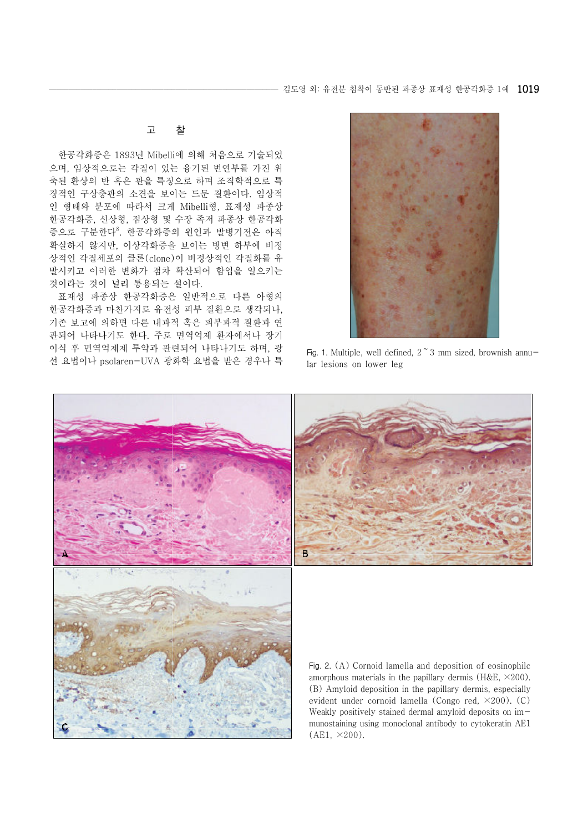고 찰

한공각화증은 1893년 Mibelli에 의해 처음으로 기술되었 으며, 임상적으로는 각질이 있는 융기된 변연부를 가진 위 축된 환상의 반 혹은 판을 특징으로 하며 조직학적으로 특 징적인 구상층판의 소견을 보이는 드문 질환이다. 임상적 인 형태와 분포에 따라서 크게 Mibelli형, 표재성 파종상 한공각화증, 선상형, 점상형 및 수장 족저 파종상 한공각화 증으로 구분한다<sup>8</sup>. 한공각화증의 원인과 발병기전은 아직 확실하지 않지만, 이상각화증을 보이는 병변 하부에 비정 상적인 각질세포의 클론(clone)이 비정상적인 각질화를 유 발시키고 이러한 변화가 점차 확산되어 함입을 일으키는 것이라는 것이 널리 통용되는 설이다.

표재성 파종상 한공각화증은 일반적으로 다른 아형의 한공각화증과 마찬가지로 유전성 피부 질환으로 생각되나, 기존 보고에 의하면 다른 내과적 혹은 피부과적 질환과 연 관되어 나타나기도 한다. 주로 면역억제 환자에서나 장기 이식 후 면역억제제 투약과 관련되어 나타나기도 하며, 광 선 요법이나 psolaren-UVA 광화학 요법을 받은 경우나 특



Fig. 1. Multiple, well defined,  $2 \tilde{\ } 3 \text{ mm}$  sized, brownish annular lesions on lower leg





Fig. 2. (A) Cornoid lamella and deposition of eosinophilc amorphous materials in the papillary dermis ( $H&E, \times 200$ ). (B) Amyloid deposition in the papillary dermis, especially evident under cornoid lamella (Congo red, ×200). (C) Weakly positively stained dermal amyloid deposits on immunostaining using monoclonal antibody to cytokeratin AE1  $(AE1, \times 200)$ .